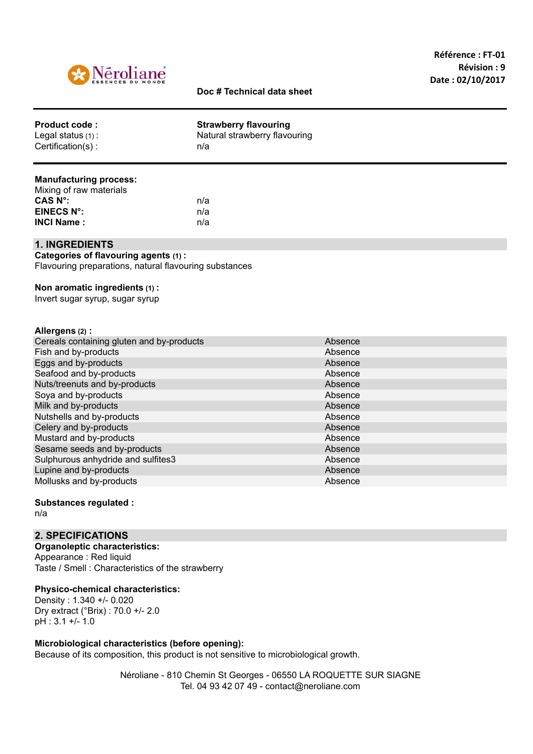

# **Doc # Technical data sheet**

| <b>Product code:</b>                      | <b>Strawberry flavouring</b>         |  |
|-------------------------------------------|--------------------------------------|--|
| Legal status $(1)$ :<br>Certification(s): | Natural strawberry flavouring<br>n/a |  |
|                                           |                                      |  |

### **Manufacturing process:**

| Mixing of raw materials |     |
|-------------------------|-----|
| CAS N°:                 | n/a |
| EINECS N°:              | n/a |
| <b>INCI Name :</b>      | n/a |

#### **1. INGREDIENTS**

**Categories of flavouring agents (1) :** Flavouring preparations, natural flavouring substances

### **Non aromatic ingredients (1) :**

Invert sugar syrup, sugar syrup

## **Allergens (2) :**

| Cereals containing gluten and by-products | Absence |
|-------------------------------------------|---------|
| Fish and by-products                      | Absence |
| Eggs and by-products                      | Absence |
| Seafood and by-products                   | Absence |
| Nuts/treenuts and by-products             | Absence |
| Soya and by-products                      | Absence |
| Milk and by-products                      | Absence |
| Nutshells and by-products                 | Absence |
| Celery and by-products                    | Absence |
| Mustard and by-products                   | Absence |
| Sesame seeds and by-products              | Absence |
| Sulphurous anhydride and sulfites3        | Absence |
| Lupine and by-products                    | Absence |
| Mollusks and by-products                  | Absence |
|                                           |         |

### **Substances regulated :** n/a

# **2. SPECIFICATIONS**

**Organoleptic characteristics:** Appearance : Red liquid Taste / Smell : Characteristics of the strawberry

## **Physico-chemical characteristics:**

Density : 1.340 +/- 0.020 Dry extract (°Brix) : 70.0 +/- 2.0 pH : 3.1 +/- 1.0

## **Microbiological characteristics (before opening):**

Because of its composition, this product is not sensitive to microbiological growth.

Néroliane - 810 Chemin St Georges - 06550 LA ROQUETTE SUR SIAGNE Tel. 04 93 42 07 49 - contact@neroliane.com